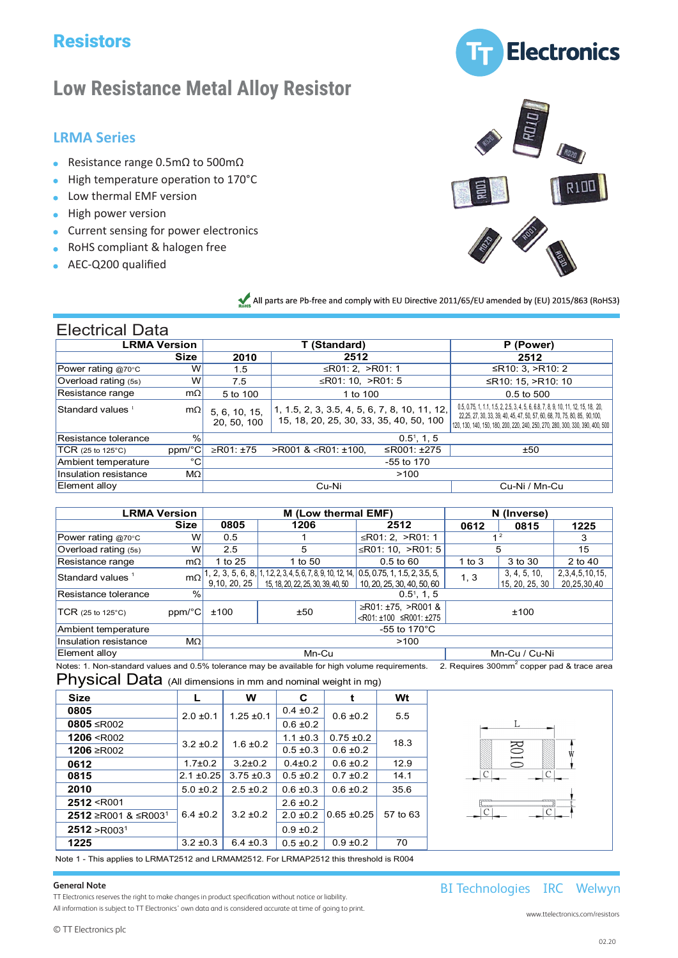# **Resistors**

# **Low Resistance Metal Alloy Resistor**

## **LRMA Series**

- Resistance range  $0.5$ m $\Omega$  to 500m $\Omega$ <br>Lisk terms entire acception to 4.78%
- High temperature operation to 170°C
- $\blacksquare$  Low thermal EMF version
- High power version
- *R* Current sensing for power electronics
- **h** RoHS compliant & halogen free **EXECUTE COMPOSITION**
- **AEC-Q200 qualified**





• **RoHS compliant & halogen free** All parts are Pb-free and comply with EU Directive 2011/65/EU amended by (EU) 2015/863 (RoHS3)

| <b>Electrical Data</b>       |             |                              |                                                                                          |               |                                                                                                                                                                                                                                                    |  |
|------------------------------|-------------|------------------------------|------------------------------------------------------------------------------------------|---------------|----------------------------------------------------------------------------------------------------------------------------------------------------------------------------------------------------------------------------------------------------|--|
| <b>LRMA Version</b>          |             |                              | T (Standard)                                                                             | P (Power)     |                                                                                                                                                                                                                                                    |  |
|                              | <b>Size</b> | 2010                         | 2512                                                                                     |               | 2512                                                                                                                                                                                                                                               |  |
| Power rating @70°C           | W           | 1.5                          | ≤R01: 2, >R01: 1                                                                         |               | ≤R10: 3, >R10: 2                                                                                                                                                                                                                                   |  |
| Overload rating (5s)         | W           | 7.5                          | ≤R01: 10, >R01: 5                                                                        |               | ≤R10: 15, >R10: 10                                                                                                                                                                                                                                 |  |
| Resistance range             | mΩ          | 5 to 100                     | 1 to 100                                                                                 |               | $0.5$ to $500$                                                                                                                                                                                                                                     |  |
| Standard values <sup>1</sup> | $m\Omega$   | 5, 6, 10, 15,<br>20, 50, 100 | 1, 1.5, 2, 3, 3.5, 4, 5, 6, 7, 8, 10, 11, 12,<br>15, 18, 20, 25, 30, 33, 35, 40, 50, 100 |               | 0.5, 0.75, 1, 1.1, 1.5, 2, 2.5, 3, 4, 5, 6, 6.8, 7, 8, 9, 10, 11, 12, 15, 18, 20,<br>22,25, 27, 30, 33, 39, 40, 45, 47, 50, 57, 60, 68, 70, 75, 80, 85, 90, 100,<br>120, 130, 140, 150, 180, 200, 220, 240, 250, 270, 280, 300, 330, 390, 400, 500 |  |
| Resistance tolerance         | %           |                              |                                                                                          | $0.51$ , 1, 5 |                                                                                                                                                                                                                                                    |  |
| $TCR$ (25 to 125 $°C$ )      | ppm/°C      | ≥R01: ±75                    | $>$ R001 & <r01: td="" ±100,<=""><td>≤R001: <math>±275</math></td><td>±50</td></r01:>    | ≤R001: $±275$ | ±50                                                                                                                                                                                                                                                |  |
| Ambient temperature          | °C          |                              |                                                                                          | -55 to 170    |                                                                                                                                                                                                                                                    |  |
| Insulation resistance        | $M\Omega$   |                              |                                                                                          | >100          |                                                                                                                                                                                                                                                    |  |
| Element alloy                |             |                              | Cu-Ni                                                                                    |               | Cu-Ni / Mn-Cu                                                                                                                                                                                                                                      |  |

| <b>LRMA Version</b>          |             |                               | M (Low thermal EMF)                                                                                                              | N (Inverse)                                                               |                |                                |                               |  |
|------------------------------|-------------|-------------------------------|----------------------------------------------------------------------------------------------------------------------------------|---------------------------------------------------------------------------|----------------|--------------------------------|-------------------------------|--|
|                              | <b>Size</b> | 1206<br>0805                  |                                                                                                                                  | 2512                                                                      | 0612           | 0815                           | 1225                          |  |
| Power rating @70 $\degree$ C | W           | 0.5                           |                                                                                                                                  | ≤R01: 2, >R01: 1                                                          | 1 <sup>2</sup> |                                | 3                             |  |
| Overload rating (5s)         | W           | ≤R01: 10, >R01: 5<br>2.5<br>5 |                                                                                                                                  |                                                                           |                | 5                              |                               |  |
| Resistance range             | $m\Omega$   | 1 to 25                       | 1 to 50                                                                                                                          | $0.5 \text{ to } 60$                                                      | 1 to $3$       | 3 to 30                        | 2 to 40                       |  |
| Standard values <sup>1</sup> | $m\Omega$   | 9.10, 20, 25                  | 1, 2, 3, 5, 6, 8, 1, 12, 2, 3, 4, 5, 6, 7, 8, 9, 10, 12, 14, 0.5, 0.75, 1, 1.5, 2, 3.5, 5,<br>15, 18, 20, 22, 25, 30, 39, 40, 50 | 10, 20, 25, 30, 40, 50, 60                                                | 1, 3           | 3, 4, 5, 10,<br>15, 20, 25, 30 | 2,3,4,5,10,15,<br>20,25,30,40 |  |
| Resistance tolerance         | $\%$        |                               | $0.51$ . 1. 5                                                                                                                    |                                                                           |                |                                |                               |  |
| TCR (25 to 125°C)            | ppm/°C      | ±100                          | ±50                                                                                                                              | ≥R01: ±75, >R001 &<br>$\langle R01: \pm 100 \rangle$ $\leq R001: \pm 275$ |                | ±100                           |                               |  |
| Ambient temperature          |             | -55 to 170 $^{\circ}$ C       |                                                                                                                                  |                                                                           |                |                                |                               |  |
| Insulation resistance        | $M\Omega$   | >100                          |                                                                                                                                  |                                                                           |                |                                |                               |  |
| Element alloy                |             | Mn-Cu<br>Mn-Cu / Cu-Ni        |                                                                                                                                  |                                                                           |                |                                |                               |  |

Notes: 1. Non-standard values and 0.5% tolerance may be available for high volume requirements.  $2.$  Requires 300mm $^2$  copper pad & trace area

Physical Data (All dimensions in mm and nominal weight in mg)

| <b>Size</b>                     |                | W              | C             |                 | Wt       |  |
|---------------------------------|----------------|----------------|---------------|-----------------|----------|--|
| 0805                            | $2.0 \pm 0.1$  | $1.25 \pm 0.1$ | $0.4 \pm 0.2$ | $0.6 \pm 0.2$   | 5.5      |  |
| 0805 ≤R002                      |                |                | $0.6 \pm 0.2$ |                 |          |  |
| 1206 < R002                     | $3.2 \pm 0.2$  | $1.6 \pm 0.2$  | $1.1 \pm 0.3$ | $0.75 \pm 0.2$  | 18.3     |  |
| 1206 ≥R002                      |                |                | $0.5 \pm 0.3$ | $0.6 \pm 0.2$   |          |  |
| 0612                            | $1.7 \pm 0.2$  | $3.2 \pm 0.2$  | $0.4 \pm 0.2$ | $0.6 \pm 0.2$   | 12.9     |  |
| 0815                            | $2.1 \pm 0.25$ | $3.75 \pm 0.3$ | $0.5 \pm 0.2$ | $0.7 \pm 0.2$   | 14.1     |  |
| 2010                            | $5.0 \pm 0.2$  | $2.5 \pm 0.2$  | $0.6 \pm 0.3$ | $0.6 \pm 0.2$   | 35.6     |  |
| 2512 < R001                     |                |                | $2.6 \pm 0.2$ |                 |          |  |
| 2512 ≥R001 & ≤R003 <sup>1</sup> | $6.4 \pm 0.2$  | $3.2 \pm 0.2$  | $2.0 \pm 0.2$ | $0.65 \pm 0.25$ | 57 to 63 |  |
| 2512 > R003 <sup>1</sup>        |                |                | $0.9 \pm 0.2$ |                 |          |  |
| 1225                            | $3.2 \pm 0.3$  | $6.4 \pm 0.3$  | $0.5 \pm 0.2$ | $0.9 \pm 0.2$   | 70       |  |

Note 1 - This applies to LRMAT2512 and LRMAM2512. For LRMAP2512 this threshold is R004

#### **General Note**

TT Electronics reserves the right to make changes in product specification without notice or liability. All information is subject to TT Electronics' own data and is considered accurate at time of going to print.

www.ttelectronics.com/resistors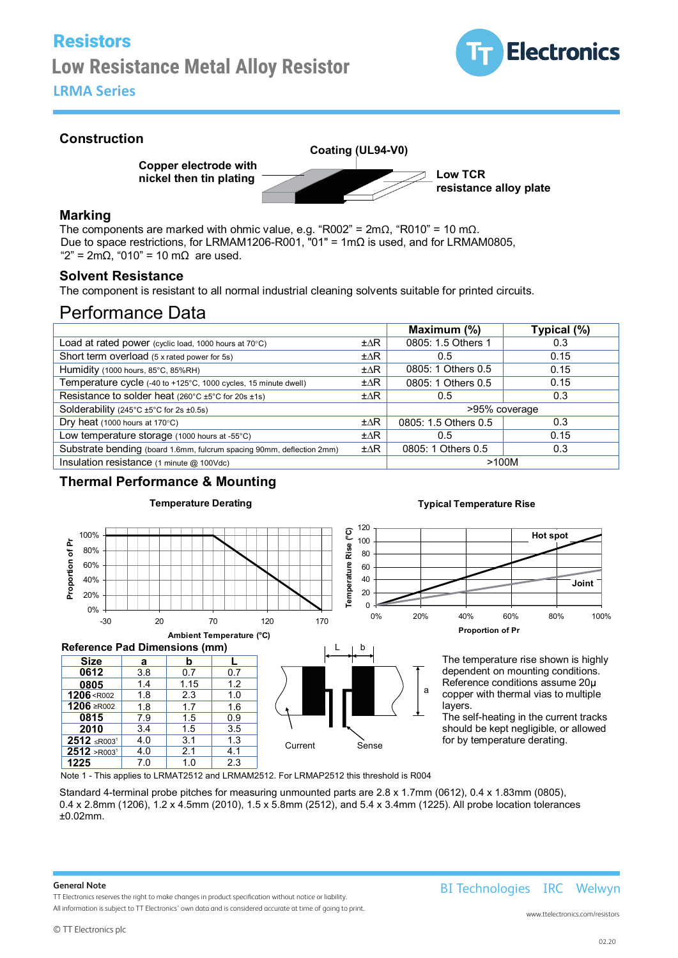# Low Resistance Metal Alloy Resistor **Low Resistance Metal Alloy Resistor** LRMA Series **LRMA Series** Resistors



## **Construction**

**Copper electrode with nickel then tin plating**

**Coating (UL94-V0)**

**Low TCR resistance alloy plate**

#### **Marking**

The components are marked with ohmic value, e.g. "R002" = 2mΩ, "R010" = 10 mΩ. Due to space restrictions, for LRMAM1206-R001, "01" = 1mΩ is used, and for LRMAM0805, " $2$ " = 2mΩ, "010" = 10 mΩ are used.

#### **Solvent Resistance**

The component is resistant to all normal industrial cleaning solvents suitable for printed circuits.

## Performance Data

|                                                                              |                | Maximum (%)          | Typical (%) |
|------------------------------------------------------------------------------|----------------|----------------------|-------------|
| Load at rated power (cyclic load, 1000 hours at $70^{\circ}$ C)              | $\pm\Delta R$  | 0805: 1.5 Others 1   | 0.3         |
| Short term overload (5 x rated power for 5s)                                 | $\pm \Delta R$ | 0.5                  | 0.15        |
| Humidity (1000 hours, 85°C, 85%RH)                                           | $\pm \Delta R$ | 0805: 1 Others 0.5   | 0.15        |
| Temperature cycle (-40 to +125°C, 1000 cycles, 15 minute dwell)              | $\pm \Delta R$ | 0805: 1 Others 0.5   | 0.15        |
| Resistance to solder heat $(260^{\circ}C \pm 5^{\circ}C)$ for 20s $\pm 1$ s) | $\pm\Delta R$  | 0.5                  | 0.3         |
| Solderability (245 $°C$ ±5 $°C$ for 2s ±0.5s)                                |                | >95% coverage        |             |
| Dry heat $(1000$ hours at $170^{\circ}$ C)                                   | $\pm\Delta R$  | 0805: 1.5 Others 0.5 | 0.3         |
| Low temperature storage $(1000 \text{ hours at } -55^{\circ} \text{C})$      | $\pm \Delta R$ | $0.5^{\circ}$        | 0.15        |
| Substrate bending (board 1.6mm, fulcrum spacing 90mm, deflection 2mm)        | $\pm \Delta R$ | 0805: 1 Others 0.5   | 0.3         |
| Insulation resistance (1 minute @ 100Vdc)                                    |                | >100M                |             |

## **Thermal Performance & Mounting**



#### **Typical Temperature Rise**

a



The temperature rise shown is highly dependent on mounting conditions. Reference conditions assume 20 copper with thermal vias to multiple layers.

The self-heating in the current tracks should be kept negligible, or allowed Current Sense for by temperature derating.

Note 1 - This applies to LRMAT2512 and LRMAM2512. For LRMAP2512 this threshold is R004

1.6 1.0

 $0.9$ 

Standard 4-terminal probe pitches for measuring unmounted parts are 2.8 x 1.7mm (0612), 0.4 x 1.83mm (0805), 0.4 x 2.8mm (1206), 1.2 x 4.5mm (2010), 1.5 x 5.8mm (2512), and 5.4 x 3.4mm (1225). All probe location tolerances ±0.02mm.

#### **General Note**

TT Electronics reserves the right to make changes in product specification without notice or liability. All information is subject to TT Electronics' own data and is considered accurate at time of going to print.

<u>**1206**<R002</u>

**1206** ≥R00<sup>2</sup>

**0805 0612**

**0815 2010**

**2512** ≤R003<sup>1</sup>

**1225** 7.0 1.0 2.3

 $\frac{1.8}{7.9}$ 1.8

**2512** >R003<sup>1</sup> 4.0 2.1 4.1<br>**1225** 7.0 1.0 2.3

1.4

 $\frac{1.7}{1.5}$ 2.3

3.4 1.5 3.5<br>4.0 3.1 1.3

4.0 3.1 1.3<br>4.0 2.1 4.1

3.8 0.7 0.7

 $1.15$  1.2